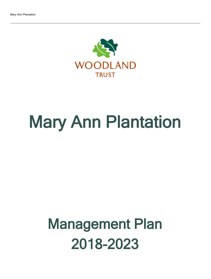

# Mary Ann Plantation

## Management Plan 2018-2023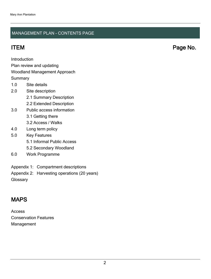### MANAGEMENT PLAN - CONTENTS PAGE

ITEM Page No.

**Introduction** 

Plan review and updating

#### Woodland Management Approach

**Summary** 

- 1.0 Site details
- 2.0 Site description
	- 2.1 Summary Description
	- 2.2 Extended Description
- 3.0 Public access information
	- 3.1 Getting there
	- 3.2 Access / Walks
- 4.0 Long term policy
- 5.0 Key Features
	- 5.1 Informal Public Access
	- 5.2 Secondary Woodland
- 6.0 Work Programme
- Appendix 1: Compartment descriptions
- Appendix 2: Harvesting operations (20 years)

**Glossary** 

## MAPS

Access Conservation Features Management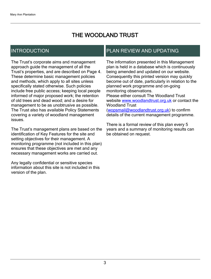## THE WOODLAND TRUST

## INTRODUCTION

The Trust's corporate aims and management approach guide the management of all the Trust's properties, and are described on Page 4. These determine basic management policies and methods, which apply to all sites unless specifically stated otherwise. Such policies include free public access; keeping local people informed of major proposed work; the retention of old trees and dead wood; and a desire for management to be as unobtrusive as possible. The Trust also has available Policy Statements covering a variety of woodland management issues.

The Trust's management plans are based on the identification of Key Features for the site and setting objectives for their management. A monitoring programme (not included in this plan) ensures that these objectives are met and any necessary management works are carried out.

Any legally confidential or sensitive species information about this site is not included in this version of the plan.

## PLAN REVIEW AND UPDATING

The information presented in this Management plan is held in a database which is continuously being amended and updated on our website. Consequently this printed version may quickly become out of date, particularly in relation to the planned work programme and on-going monitoring observations. Please either consult The Woodland Trust website [www.woodlandtrust.org.uk](http://www.woodlandtrust.org.uk/) or contact the Woodland Trust [\(wopsmail@woodlandtrust.org.uk](mailto:wopsmail@woodlandtrust.org.uk)) to confirm

details of the current management programme.

There is a formal review of this plan every 5 years and a summary of monitoring results can be obtained on request.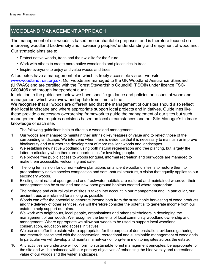## WOODLAND MANAGEMENT APPROACH

The management of our woods is based on our charitable purposes, and is therefore focused on improving woodland biodiversity and increasing peoples' understanding and enjoyment of woodland. Our strategic aims are to:

- Protect native woods, trees and their wildlife for the future
- Work with others to create more native woodlands and places rich in trees
- Inspire everyone to enjoy and value woods and trees

All our sites have a management plan which is freely accessible via our website [www.woodlandtrust.org.uk.](http://www.woodlandtrust.org.uk/) Our woods are managed to the UK Woodland Assurance Standard (UKWAS) and are certified with the Forest Stewardship Council® (FSC®) under licence FSC-C009406 and through independent audit.

In addition to the guidelines below we have specific guidance and policies on issues of woodland management which we review and update from time to time.

We recognise that all woods are different and that the management of our sites should also reflect their local landscape and where appropriate support local projects and initiatives. Guidelines like these provide a necessary overarching framework to guide the management of our sites but such management also requires decisions based on local circumstances and our Site Manager's intimate knowledge of each site.

The following guidelines help to direct our woodland management:

- 1. Our woods are managed to maintain their intrinsic key features of value and to reflect those of the surrounding landscape. We intervene when there is evidence that it is necessary to maintain or improve biodiversity and to further the development of more resilient woods and landscapes.
- 2. We establish new native woodland using both natural regeneration and tree planting, but largely the latter, particularly when there are opportunities for involving people.
- 3. We provide free public access to woods for quiet, informal recreation and our woods are managed to make them accessible, welcoming and safe.
- 4. The long term vision for our non-native plantations on ancient woodland sites is to restore them to predominantly native species composition and semi-natural structure, a vision that equally applies to our secondary woods.
- 5. Existing semi-natural open-ground and freshwater habitats are restored and maintained wherever their management can be sustained and new open ground habitats created where appropriate.
- 6. The heritage and cultural value of sites is taken into account in our management and, in particular, our ancient trees are retained for as long as possible.
- 7. Woods can offer the potential to generate income both from the sustainable harvesting of wood products and the delivery of other services. We will therefore consider the potential to generate income from our estate to help support our aims.
- 8. We work with neighbours, local people, organisations and other stakeholders in developing the management of our woods. We recognise the benefits of local community woodland ownership and management. Where appropriate we allow our woods to be used to support local woodland, conservation, education and access initiatives.
- 9. We use and offer the estate where appropriate, for the purpose of demonstration, evidence gathering and research associated with the conservation, recreational and sustainable management of woodlands. In particular we will develop and maintain a network of long-term monitoring sites across the estate.
- 10 Any activities we undertake will conform to sustainable forest management principles, be appropriate for the site and will be balanced with our primary objectives of enhancing the biodiversity and recreational value of our woods and the wider landscapes.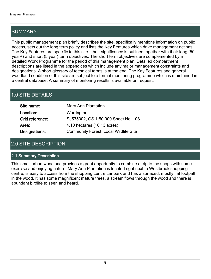## SUMMARY

This public management plan briefly describes the site, specifically mentions information on public access, sets out the long term policy and lists the Key Features which drive management actions. The Key Features are specific to this site - their significance is outlined together with their long (50 year+) and short (5 year) term objectives. The short term objectives are complemented by a detailed Work Programme for the period of this management plan. Detailed compartment descriptions are listed in the appendices which include any major management constraints and designations. A short glossary of technical terms is at the end. The Key Features and general woodland condition of this site are subject to a formal monitoring programme which is maintained in a central database. A summary of monitoring results is available on request.

## 1.0 SITE DETAILS

| Site name:      | Mary Ann Plantation                          |
|-----------------|----------------------------------------------|
| Location:       | Warrington                                   |
| Grid reference: | SJ575902, OS 1:50,000 Sheet No. 108          |
| Area:           | 4.10 hectares (10.13 acres)                  |
| Designations:   | <b>Community Forest, Local Wildlife Site</b> |

## 2.0 SITE DESCRIPTION

#### 2.1 Summary Description

This small urban woodland provides a great opportunity to combine a trip to the shops with some exercise and enjoying nature. Mary Ann Plantation is located right next to Westbrook shopping centre, is easy to access from the shopping centre car park and has a surfaced, mostly flat footpath in the wood. It has some magnificent mature trees, a stream flows through the wood and there is abundant birdlife to seen and heard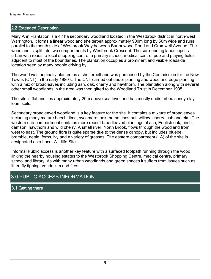#### 2.2 Extended Description

Mary Ann Plantation is a 4.1ha secondary woodland located in the Westbrook district in north-west Warrington. It forms a linear woodland shelterbelt approximately 900m long by 50m wide and runs parallel to the south side of Westbrook Way between Burtonwood Road and Cromwell Avenue. The woodland is split into two compartments by Westbrook Crescent. The surrounding landscape is urban with roads, a local shopping centre, a primary school, medical centre, pub and playing fields adjacent to most of the boundaries. The plantation occupies a prominent and visible roadside location seen by many people driving by.

The wood was originally planted as a shelterbelt and was purchased by the Commission for the New Towns (CNT) in the early 1980's. The CNT carried out under planting and woodland edge planting with a mix of broadleaves including ash, oak, cherry and hawthorn. The plantation along with several other small woodlands in the area was then gifted to the Woodland Trust in December 1995.

The site is flat and lies approximately 20m above sea level and has mostly undisturbed sandy-clayloam soils.

Secondary broadleaved woodland is a key feature for the site. It contains a mixture of broadleaves including many mature beech, lime, sycamore, oak, horse chestnut, willow, cherry, ash and elm. The western sub-compartment contains more recent broadleaved plantings of ash, English oak, birch, damson, hawthorn and wild cherry. A small river, North Brook, flows through the woodland from west to east. The ground flora is quite sparse due to the dense canopy, but includes bluebell, bramble, nettle, ferns, ivy and a variety of grasses. The eastern compartment (1A) of the site is designated as a Local Wildlife Site.

Informal Public access is another key feature with a surfaced footpath running through the wood linking the nearby housing estates to the Westbrook Shopping Centre, medical centre, primary school and library. As with many urban woodlands and green spaces it suffers from issues such as litter, fly tipping, vandalism and fires.

## 3.0 PUBLIC ACCESS INFORMATION

3.1 Getting there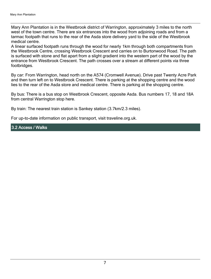Mary Ann Plantation is in the Westbrook district of Warrington, approximately 3 miles to the north west of the town centre. There are six entrances into the wood from adjoining roads and from a tarmac footpath that runs to the rear of the Asda store delivery yard to the side of the Westbrook medical centre.

A linear surfaced footpath runs through the wood for nearly 1km through both compartments from the Westbrook Centre, crossing Westbrook Crescent and carries on to Burtonwood Road. The path is surfaced with stone and flat apart from a slight gradient into the western part of the wood by the entrance from Westbrook Crescent. The path crosses over a stream at different points via three footbridges.

By car: From Warrington, head north on the A574 (Cromwell Avenue). Drive past Twenty Acre Park and then turn left on to Westbrook Crescent. There is parking at the shopping centre and the wood lies to the rear of the Asda store and medical centre. There is parking at the shopping centre.

By bus: There is a bus stop on Westbrook Crescent, opposite Asda. Bus numbers 17, 18 and 18A from central Warrington stop here.

By train: The nearest train station is Sankey station (3.7km/2.3 miles).

For up-to-date information on public transport, visit traveline.org.uk.

3.2 Access / Walks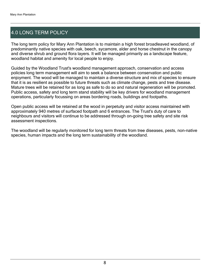## 4.0 LONG TERM POLICY

The long term policy for Mary Ann Plantation is to maintain a high forest broadleaved woodland, of predominantly native species with oak, beech, sycamore, alder and horse chestnut in the canopy and diverse shrub and ground flora layers. It will be managed primarily as a landscape feature, woodland habitat and amenity for local people to enjoy.

Guided by the Woodland Trust's woodland management approach, conservation and access policies long term management will aim to seek a balance between conservation and public enjoyment. The wood will be managed to maintain a diverse structure and mix of species to ensure that it is as resilient as possible to future threats such as climate change, pests and tree disease. Mature trees will be retained for as long as safe to do so and natural regeneration will be promoted. Public access, safety and long term stand stability will be key drivers for woodland management operations, particularly focussing on areas bordering roads, buildings and footpaths.

Open public access will be retained at the wood in perpetuity and visitor access maintained with approximately 940 metres of surfaced footpath and 6 entrances. The Trust's duty of care to neighbours and visitors will continue to be addressed through on-going tree safety and site risk assessment inspections.

The woodland will be regularly monitored for long term threats from tree diseases, pests, non-native species, human impacts and the long term sustainability of the woodland.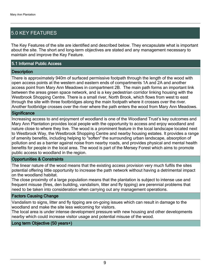## 5.0 KEY FEATURES

The Key Features of the site are identified and described below. They encapsulate what is important about the site. The short and long-term objectives are stated and any management necessary to maintain and improve the Key Feature.

#### 5.1 Informal Public Access

#### **Description**

There is approximately 940m of surfaced permissive footpath through the length of the wood with open access points at the western and eastern ends of compartments 1A and 2A and another access point from Mary Ann Meadows in compartment 2B. The main path forms an important link between the areas green space network, and is a key pedestrian corridor linking housing with the Westbrook Shopping Centre. There is a small river, North Brook, which flows from west to east through the site with three footbridges along the main footpath where it crosses over the river. Another footbridge crosses over the river where the path enters the wood from Mary Ann Meadows.

#### **Significance**

Increasing access to and enjoyment of woodland is one of the Woodland Trust's key outcomes and Mary Ann Plantation provides local people with the opportunity to access and enjoy woodland and nature close to where they live. The wood is a prominent feature in the local landscape located next to Westbrook Way, the Westbrook Shopping Centre and nearby housing estates. It provides a range of amenity benefits, including helping to "soften" the surrounding urban landscape, absorption of pollution and as a barrier against noise from nearby roads, and provides physical and mental health benefits for people in the local area. The wood is part of the Mersey Forest which aims to promote public access to woodland in the region.

#### Opportunities & Constraints

The linear nature of the wood means that the existing access provision very much fulfils the sites potential offering little opportunity to increase the path network without having a detrimental impact on the woodland habitat.

The close proximity of a large population means that the plantation is subject to intense use and frequent misuse (fires, den building, vandalism, litter and fly tipping) are perennial problems that need to be taken into consideration when carrying out any management operations.

#### Factors Causing Change

Vandalism to signs, litter and fly tipping are on-going issues which can result in damage to the woodland and make the site less welcoming for visitors.

The local area is under intense development pressure with new housing and other developments nearby which could increase visitor usage and potential misuse of the wood.

#### Long term Objective (50 years+)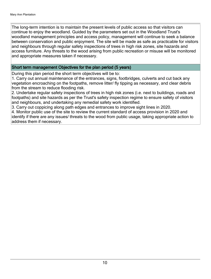The long-term intention is to maintain the present levels of public access so that visitors can continue to enjoy the woodland. Guided by the parameters set out in the Woodland Trust's woodland management principles and access policy, management will continue to seek a balance between conservation and public enjoyment. The site will be made as safe as practicable for visitors and neighbours through regular safety inspections of trees in high risk zones, site hazards and access furniture. Any threats to the wood arising from public recreation or misuse will be monitored and appropriate measures taken if necessary.

#### Short term management Objectives for the plan period (5 years)

During this plan period the short term objectives will be to:

1. Carry out annual maintenance of the entrances, signs, footbridges, culverts and cut back any vegetation encroaching on the footpaths, remove litter/ fly tipping as necessary, and clear debris from the stream to reduce flooding risk.

2. Undertake regular safety inspections of trees in high risk zones (i.e. next to buildings, roads and footpaths) and site hazards as per the Trust's safety inspection regime to ensure safety of visitors and neighbours, and undertaking any remedial safety work identified.

3. Carry out coppicing along path edges and entrances to improve sight lines in 2020.

4. Monitor public use of the site to review the current standard of access provision in 2020 and identify if there are any issues/ threats to the wood from public usage, taking appropriate action to address them if necessary.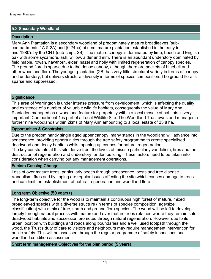#### 5.2 Secondary Woodland

#### **Description**

Mary Ann Plantation is a secondary woodland of predominately mature broadleaves (subcompartments 1A & 2A) and (0.74ha) of semi-mature plantation established in the early to mid-1980's by the CNT (sub-cmpt. 2B). The mature canopy is dominated by lime, beech and English oak with some sycamore, ash, willow, alder and elm. There is an abundant understory dominated by field maple, rowan, hawthorn, elder, hazel and holly with limited regeneration of canopy species. The ground flora is sparse due to the dense canopy, although there are pockets of bluebell and other woodland flora. The younger plantation (2B) has very little structural variety in terms of canopy and understory, but delivers structural diversity in terms of species composition. The ground flora is sparse and suppressed.

#### **Significance**

This area of Warrington is under intense pressure from development, which is affecting the quality and existence of a number of valuable wildlife habitats, consequently the value of Mary Ann Plantation managed as a woodland feature for perpetuity within a local mosaic of habitats is very important. Compartment 1 is part of a Local Wildlife Site. The Woodland Trust owns and manages a further nine woodlands within 2kms of Mary Ann amounting to a local estate of 25.8 ha.

#### Opportunities & Constraints

Due to the predominantly single aged upper canopy, many stands in the woodland will advance into senescence, providing opportunities through the tree safety programme to create specialised deadwood and decay habitats whilst opening up coupes for natural regeneration. The key constraints at this site derive from the levels of misuse particularly vandalism, fires and the destruction of regeneration and understory for den building. These factors need to be taken into consideration when carrying out any management operations.

#### Factors Causing Change

Loss of over mature trees, particularly beech through senescence, pests and tree disease. Vandalism, fires and fly tipping are regular issues affecting the site which causes damage to trees and can limit the establishment of natural regeneration and woodland flora.

#### Long term Objective (50 years+)

The long-term objective for the wood is to maintain a continuous high forest of mature, mixed broadleaved species with a diverse structure (in terms of species composition, age/size classification) with a mix of tree, shrub and ground flora species. The wood will be left to develop largely through natural process with mature and over mature trees retained where they remain safe, deadwood habitats and succession promoted through natural regeneration. However due to its urban location with buildings and roads along boundaries and a well used footpath through the wood, the Trust's duty of care to visitors and neighbours may require management intervention for public safety. This will be assessed through the regular programme of safety inspections and woodland condition assessment.

#### Short term management Objectives for the plan period (5 years)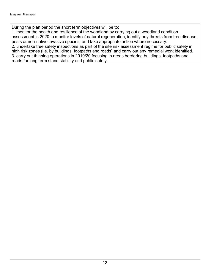During the plan period the short term objectives will be to:

1. monitor the health and resilience of the woodland by carrying out a woodland condition assessment in 2020 to monitor levels of natural regeneration, identify any threats from tree disease, pests or non-native invasive species, and take appropriate action where necessary.

2. undertake tree safety inspections as part of the site risk assessment regime for public safety in high risk zones (i.e. by buildings, footpaths and roads) and carry out any remedial work identified. 3. carry out thinning operations in 2019/20 focusing in areas bordering buildings, footpaths and roads for long term stand stability and public safety.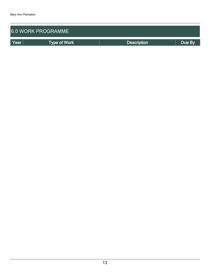| <b>6.0 WORK PROGRAMME</b> |                     |                    |        |  |  |  |
|---------------------------|---------------------|--------------------|--------|--|--|--|
| Year                      | <b>Type of Work</b> | <b>Description</b> | Due By |  |  |  |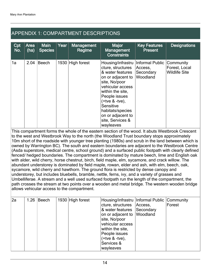## APPENDIX 1: COMPARTMENT DESCRIPTIONS

| Cpt<br>No. | Area<br>(ha) | <b>Main</b><br><b>Species</b> | Year | <b>Management</b><br>Regime | <b>Major</b><br><b>Management</b><br><b>Constraints</b>                                                                                                                                                                                                                  | <b>Key Features</b><br><b>Present</b>               | <b>Designations</b>                                |
|------------|--------------|-------------------------------|------|-----------------------------|--------------------------------------------------------------------------------------------------------------------------------------------------------------------------------------------------------------------------------------------------------------------------|-----------------------------------------------------|----------------------------------------------------|
| 1a         | 2.04         | <b>Beech</b>                  |      | 1930 High forest            | Housing/infrastru<br>cture, structures<br>& water features<br>on or adjacent to<br>site, No/poor<br>vehicular access<br>within the site,<br>People issues<br>$(+$ tve & $-$ tve),<br>Sensitive<br>habitats/species<br>on or adjacent to<br>site, Services &<br>wayleaves | Informal Public<br>Access,<br>Secondary<br>Woodland | Community<br>Forest, Local<br><b>Wildlife Site</b> |

This compartment forms the whole of the eastern section of the wood. It abuts Westbrook Crescent to the west and Westbrook Way to the north (the Woodland Trust boundary stops approximately 10m short of the roadside with younger tree planting (1980s) and scrub in the land between which is owned by Warrington BC). The south and eastern boundaries are adjacent to the Westbrook Centre (Asda superstore, medical centre, school ground) and a surfaced public footpath with clearly defined fenced/ hedged boundaries. The compartment is dominated by mature beech, lime and English oak with alder, wild cherry, horse chestnut, birch, field maple, elm, sycamore, and crack willow. The abundant understorey is dominated by field maple, rowan, elder and ash, with elm, beech, oak, sycamore, wild cherry and hawthorn. The ground flora is restricted by dense canopy and understorey, but includes bluebells, bramble, nettle, ferns, ivy, and a variety of grasses and Umbelliferae. A stream and a well used surfaced footpath run the length of the compartment, the path crosses the stream at two points over a wooden and metal bridge. The western wooden bridge allows vehicular access to the compartment.

| 2a | $1.26$ Beech | 1930 High forest | Housing/infrastru   Informal Public   Community<br>cture, structures<br>& water features Secondary<br>on or adjacent to Woodland<br>site, No/poor<br>vehicular access<br>within the site,<br>People issues<br>$(+$ tve & -tve),<br>Services &<br>wayleaves | Access | Forest |
|----|--------------|------------------|------------------------------------------------------------------------------------------------------------------------------------------------------------------------------------------------------------------------------------------------------------|--------|--------|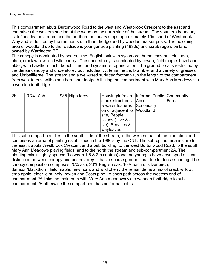This compartment abuts Burtonwood Road to the west and Westbrook Crescent to the east and comprises the western section of the wood on the north side of the stream. The southern boundary is defined by the stream and the northern boundary stops approximately 10m short of Westbrook Way and is defined by the remnants of a thorn hedge and by wooden marker posts. The adjoining area of woodland up to the roadside is younger tree planting (1980s) and scrub regen. on land owned by Warrington BC.

The canopy is dominated by beech, lime, English oak with sycamore, horse chestnut, elm, ash, birch, crack willow, and wild cherry. The understorey is dominated by rowan, field maple, hazel and elder, with hawthorn, ash, beech, lime, and sycamore regeneration. The ground flora is restricted by the dense canopy and understorey but includes ivy, ferns, nettle, bramble, and a variety of grasses and Umbelliferae. The stream and a well-used surfaced footpath run the length of the compartment from west to east with a southern spur footpath linking the compartment with Mary Ann Meadows via a wooden footbridge.

| 2b | $0.74$ Ash |  | 1985 High forest | Housing/infrastru   Informal Public   Community |        |
|----|------------|--|------------------|-------------------------------------------------|--------|
|    |            |  |                  | cture, structures   Access,                     | Forest |
|    |            |  |                  | & water features Secondary                      |        |
|    |            |  |                  | on or adjacent to Woodland                      |        |
|    |            |  |                  | site, People                                    |        |
|    |            |  |                  | issues (+tve & -                                |        |
|    |            |  |                  | tve), Services &                                |        |
|    |            |  |                  | wayleaves                                       |        |

This sub-compartment lies to the south side of the stream, in the western half of the plantation and comprises an area of planting established in the 1980's by the CNT. The sub-cpt boundaries are to the east it abuts Westbrook Crescent and a pub building, to the west Burtonwood Road, to the south Mary Ann Meadows playing fields, and to the north the stream and sub-compartment 2A. The planting mix is tightly spaced (between 1.5 & 2m centres) and too young to have developed a clear distinction between canopy and understorey. It has a sparse ground flora due to dense shading. The canopy composition comprises 20% ash, 20% English oak, 10% each of silver birch, damson/blackthorn, field maple, hawthorn, and wild cherry the remainder is a mix of crack willow, crab apple, elder, elm, holy, rowan and Scots pine. A short path across the western end of compartment 2A links the main path with Mary Ann meadows via a wooden footbridge to subcompartment 2B otherwise the compartment has no formal paths.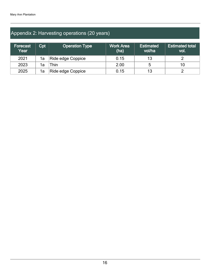## Appendix 2: Harvesting operations (20 years)

| Forecast<br>Year | Cpt | <b>Operation Type</b> | <b>Work Area</b><br>(ha) | <b>Estimated</b><br>vol/ha | <b>Estimated total</b><br>vol. |
|------------------|-----|-----------------------|--------------------------|----------------------------|--------------------------------|
| 2021             | 1a  | Ride edge Coppice     | 0.15                     | 13                         |                                |
| 2023             | 1a  | `hin                  | 2.00                     |                            | 10                             |
| 2025             | 1a  | Ride edge Coppice     | 0.15                     | 13                         |                                |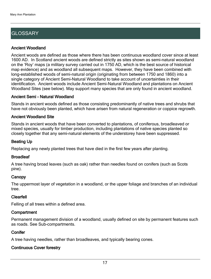## **GLOSSARY**

#### Ancient Woodland

Ancient woods are defined as those where there has been continuous woodland cover since at least 1600 AD. In Scotland ancient woods are defined strictly as sites shown as semi-natural woodland on the 'Roy' maps (a military survey carried out in 1750 AD, which is the best source of historical map evidence) and as woodland all subsequent maps. However, they have been combined with long-established woods of semi-natural origin (originating from between 1750 and 1860) into a single category of Ancient Semi-Natural Woodland to take account of uncertainties in their identification. Ancient woods include Ancient Semi-Natural Woodland and plantations on Ancient Woodland Sites (see below). May support many species that are only found in ancient woodland.

#### Ancient Semi - Natural Woodland

Stands in ancient woods defined as those consisting predominantly of native trees and shrubs that have not obviously been planted, which have arisen from natural regeneration or coppice regrowth.

#### Ancient Woodland Site

Stands in ancient woods that have been converted to plantations, of coniferous, broadleaved or mixed species, usually for timber production, including plantations of native species planted so closely together that any semi-natural elements of the understorey have been suppressed.

#### Beating Up

Replacing any newly planted trees that have died in the first few years after planting.

#### **Broadleaf**

A tree having broad leaves (such as oak) rather than needles found on conifers (such as Scots pine).

#### **Canopy**

The uppermost layer of vegetation in a woodland, or the upper foliage and branches of an individual tree.

#### Clearfell

Felling of all trees within a defined area.

#### **Compartment**

Permanent management division of a woodland, usually defined on site by permanent features such as roads. See Sub-compartments.

#### **Conifer**

A tree having needles, rather than broadleaves, and typically bearing cones.

#### Continuous Cover forestry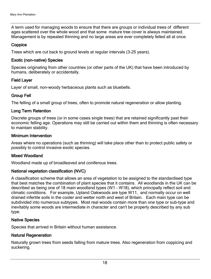A term used for managing woods to ensure that there are groups or individual trees of different ages scattered over the whole wood and that some mature tree cover is always maintained. Management is by repeated thinning and no large areas are ever completely felled all at once.

#### **Coppice**

Trees which are cut back to ground levels at regular intervals (3-25 years).

#### Exotic (non-native) Species

Species originating from other countries (or other parts of the UK) that have been introduced by humans, deliberately or accidentally.

#### Field Layer

Layer of small, non-woody herbaceous plants such as bluebells.

#### Group Fell

The felling of a small group of trees, often to promote natural regeneration or allow planting.

#### Long Term Retention

Discrete groups of trees (or in some cases single trees) that are retained significantly past their economic felling age. Operations may still be carried out within them and thinning is often necessary to maintain stability.

#### Minimum Intervention

Areas where no operations (such as thinning) will take place other than to protect public safety or possibly to control invasive exotic species.

#### Mixed Woodland

Woodland made up of broadleaved and coniferous trees.

#### National vegetation classification (NVC)

A classification scheme that allows an area of vegetation to be assigned to the standardised type that best matches the combination of plant species that it contains. All woodlands in the UK can be described as being one of 18 main woodland types (W1 - W18), which principally reflect soil and climatic conditions. For example, Upland Oakwoods are type W11, and normally occur on well drained infertile soils in the cooler and wetter north and west of Britain. Each main type can be subdivided into numerous subtypes. Most real woods contain more than one type or sub-type and inevitably some woods are intermediate in character and can't be properly described by any sub type.

#### Native Species

Species that arrived in Britain without human assistance.

#### Natural Regeneration

Naturally grown trees from seeds falling from mature trees. Also regeneration from coppicing and suckering.